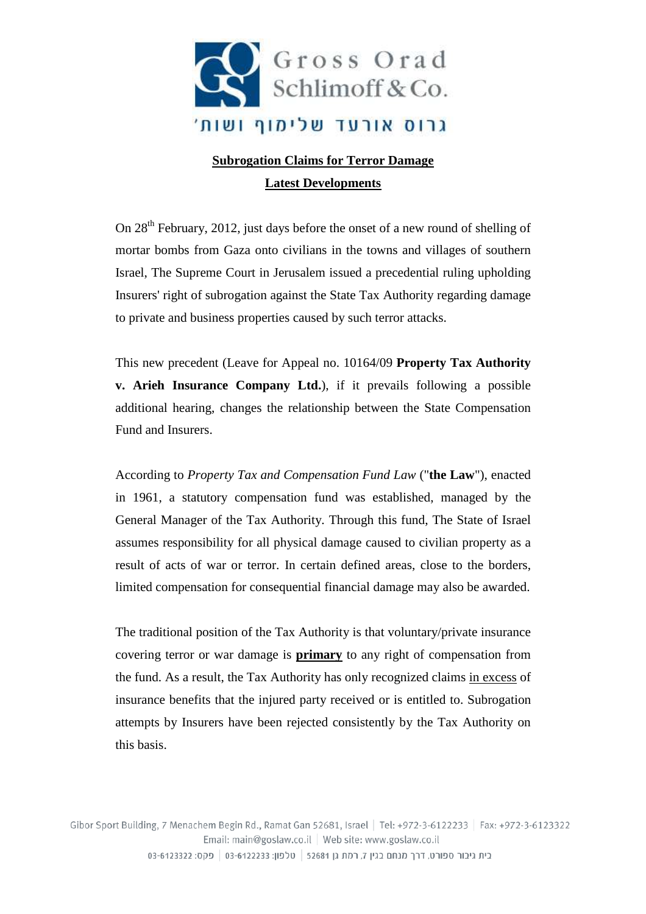

## **Subrogation Claims for Terror Damage Latest Developments**

On 28<sup>th</sup> February, 2012, just days before the onset of a new round of shelling of mortar bombs from Gaza onto civilians in the towns and villages of southern Israel, The Supreme Court in Jerusalem issued a precedential ruling upholding Insurers' right of subrogation against the State Tax Authority regarding damage to private and business properties caused by such terror attacks.

This new precedent (Leave for Appeal no. 10164/09 **Property Tax Authority v. Arieh Insurance Company Ltd.**), if it prevails following a possible additional hearing, changes the relationship between the State Compensation Fund and Insurers.

According to *Property Tax and Compensation Fund Law* ("**the Law**"), enacted in 1961, a statutory compensation fund was established, managed by the General Manager of the Tax Authority. Through this fund, The State of Israel assumes responsibility for all physical damage caused to civilian property as a result of acts of war or terror. In certain defined areas, close to the borders, limited compensation for consequential financial damage may also be awarded.

The traditional position of the Tax Authority is that voluntary/private insurance covering terror or war damage is **primary** to any right of compensation from the fund. As a result, the Tax Authority has only recognized claims in excess of insurance benefits that the injured party received or is entitled to. Subrogation attempts by Insurers have been rejected consistently by the Tax Authority on this basis.

Gibor Sport Building, 7 Menachem Begin Rd., Ramat Gan 52681, Israel | Tel: +972-3-6122233 | Fax: +972-3-6123322 Email: main@goslaw.co.il | Web site: www.goslaw.co.il בית גיבור ספורט, דרך מנחם בגין 7, רמת גן 52681 | טלפון: 6122233-03-6123 | פקס: 6123322-03-642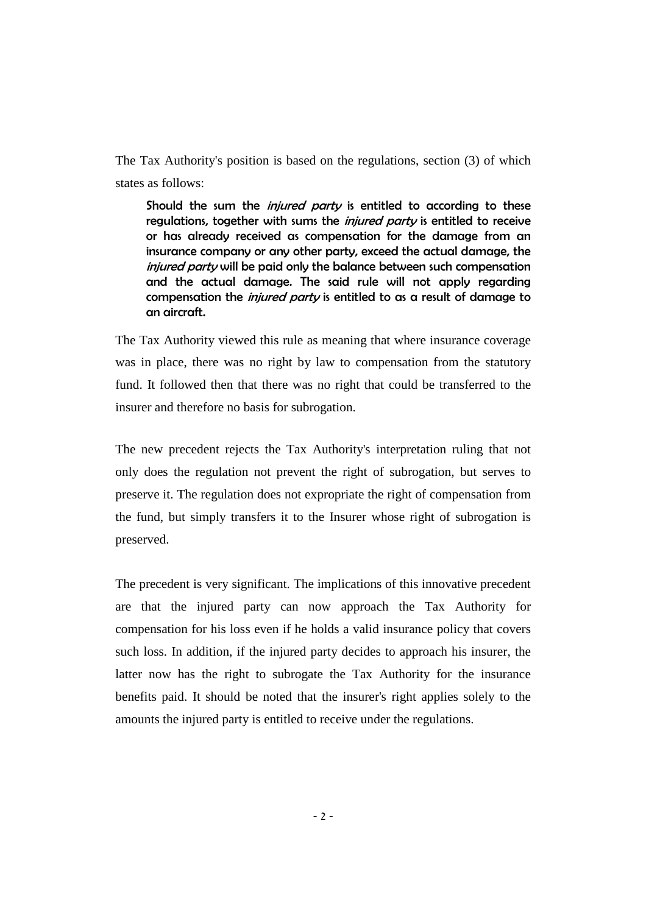The Tax Authority's position is based on the regulations, section (3) of which states as follows:

Should the sum the *injured party* is entitled to according to these regulations, together with sums the *injured party* is entitled to receive or has already received as compensation for the damage from an insurance company or any other party, exceed the actual damage, the injured party will be paid only the balance between such compensation and the actual damage. The said rule will not apply regarding compensation the *injured party* is entitled to as a result of damage to an aircraft.

The Tax Authority viewed this rule as meaning that where insurance coverage was in place, there was no right by law to compensation from the statutory fund. It followed then that there was no right that could be transferred to the insurer and therefore no basis for subrogation.

The new precedent rejects the Tax Authority's interpretation ruling that not only does the regulation not prevent the right of subrogation, but serves to preserve it. The regulation does not expropriate the right of compensation from the fund, but simply transfers it to the Insurer whose right of subrogation is preserved.

The precedent is very significant. The implications of this innovative precedent are that the injured party can now approach the Tax Authority for compensation for his loss even if he holds a valid insurance policy that covers such loss. In addition, if the injured party decides to approach his insurer, the latter now has the right to subrogate the Tax Authority for the insurance benefits paid. It should be noted that the insurer's right applies solely to the amounts the injured party is entitled to receive under the regulations.